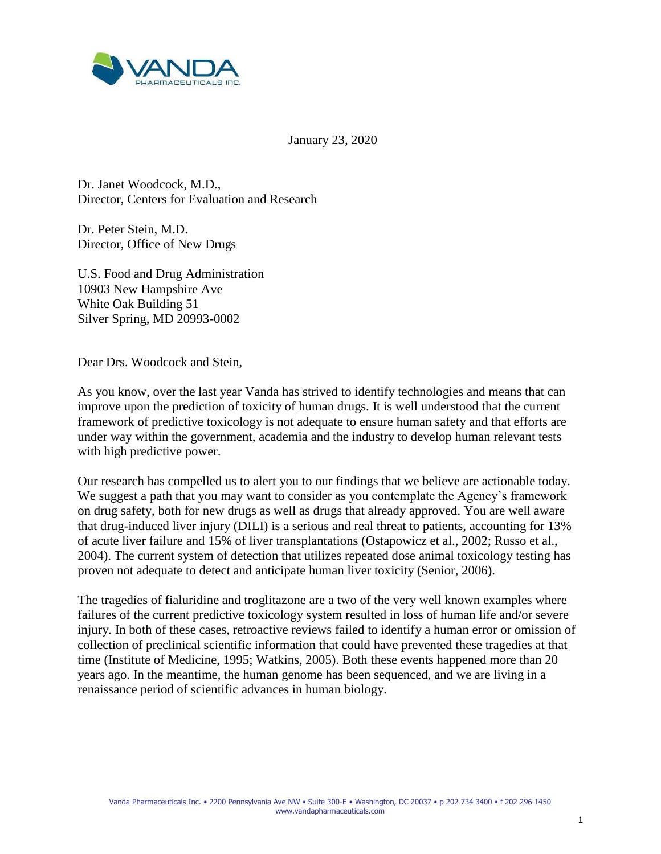

January 23, 2020

Dr. Janet Woodcock, M.D., Director, Centers for Evaluation and Research

Dr. Peter Stein, M.D. Director, Office of New Drugs

U.S. Food and Drug Administration 10903 New Hampshire Ave White Oak Building 51 Silver Spring, MD 20993-0002

Dear Drs. Woodcock and Stein,

As you know, over the last year Vanda has strived to identify technologies and means that can improve upon the prediction of toxicity of human drugs. It is well understood that the current framework of predictive toxicology is not adequate to ensure human safety and that efforts are under way within the government, academia and the industry to develop human relevant tests with high predictive power.

Our research has compelled us to alert you to our findings that we believe are actionable today. We suggest a path that you may want to consider as you contemplate the Agency's framework on drug safety, both for new drugs as well as drugs that already approved. You are well aware that drug-induced liver injury (DILI) is a serious and real threat to patients, accounting for 13% of acute liver failure and 15% of liver transplantations (Ostapowicz et al., 2002; Russo et al., 2004). The current system of detection that utilizes repeated dose animal toxicology testing has proven not adequate to detect and anticipate human liver toxicity (Senior, 2006).

The tragedies of fialuridine and troglitazone are a two of the very well known examples where failures of the current predictive toxicology system resulted in loss of human life and/or severe injury. In both of these cases, retroactive reviews failed to identify a human error or omission of collection of preclinical scientific information that could have prevented these tragedies at that time (Institute of Medicine, 1995; Watkins, 2005). Both these events happened more than 20 years ago. In the meantime, the human genome has been sequenced, and we are living in a renaissance period of scientific advances in human biology.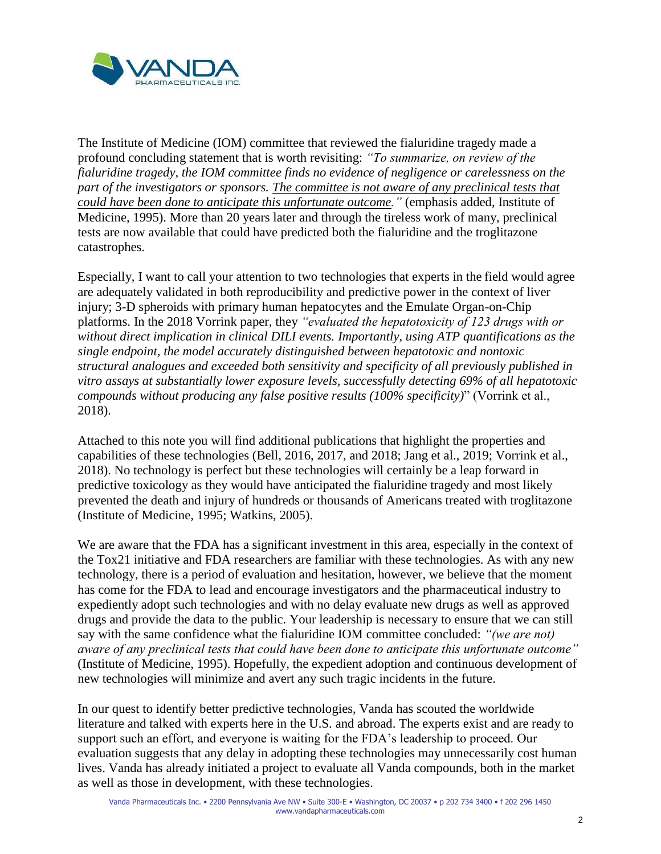

The Institute of Medicine (IOM) committee that reviewed the fialuridine tragedy made a profound concluding statement that is worth revisiting: *"To summarize, on review of the fialuridine tragedy, the IOM committee finds no evidence of negligence or carelessness on the part of the investigators or sponsors. The committee is not aware of any preclinical tests that could have been done to anticipate this unfortunate outcome."* (emphasis added, Institute of Medicine, 1995). More than 20 years later and through the tireless work of many, preclinical tests are now available that could have predicted both the fialuridine and the troglitazone catastrophes.

Especially, I want to call your attention to two technologies that experts in the field would agree are adequately validated in both reproducibility and predictive power in the context of liver injury; 3-D spheroids with primary human hepatocytes and the Emulate Organ-on-Chip platforms. In the 2018 Vorrink paper, they *"evaluated the hepatotoxicity of 123 drugs with or without direct implication in clinical DILI events. Importantly, using ATP quantifications as the single endpoint, the model accurately distinguished between hepatotoxic and nontoxic structural analogues and exceeded both sensitivity and specificity of all previously published in vitro assays at substantially lower exposure levels, successfully detecting 69% of all hepatotoxic compounds without producing any false positive results (100% specificity)*" (Vorrink et al., 2018).

Attached to this note you will find additional publications that highlight the properties and capabilities of these technologies (Bell, 2016, 2017, and 2018; Jang et al., 2019; Vorrink et al., 2018). No technology is perfect but these technologies will certainly be a leap forward in predictive toxicology as they would have anticipated the fialuridine tragedy and most likely prevented the death and injury of hundreds or thousands of Americans treated with troglitazone (Institute of Medicine, 1995; Watkins, 2005).

We are aware that the FDA has a significant investment in this area, especially in the context of the Tox21 initiative and FDA researchers are familiar with these technologies. As with any new technology, there is a period of evaluation and hesitation, however, we believe that the moment has come for the FDA to lead and encourage investigators and the pharmaceutical industry to expediently adopt such technologies and with no delay evaluate new drugs as well as approved drugs and provide the data to the public. Your leadership is necessary to ensure that we can still say with the same confidence what the fialuridine IOM committee concluded: *"(we are not) aware of any preclinical tests that could have been done to anticipate this unfortunate outcome"*  (Institute of Medicine, 1995). Hopefully, the expedient adoption and continuous development of new technologies will minimize and avert any such tragic incidents in the future.

In our quest to identify better predictive technologies, Vanda has scouted the worldwide literature and talked with experts here in the U.S. and abroad. The experts exist and are ready to support such an effort, and everyone is waiting for the FDA's leadership to proceed. Our evaluation suggests that any delay in adopting these technologies may unnecessarily cost human lives. Vanda has already initiated a project to evaluate all Vanda compounds, both in the market as well as those in development, with these technologies.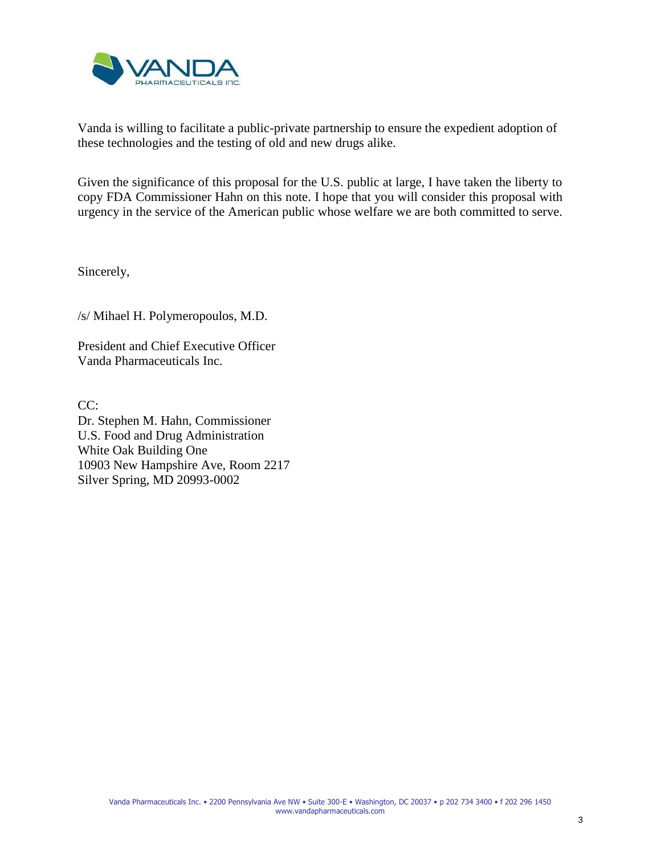

Vanda is willing to facilitate a public-private partnership to ensure the expedient adoption of these technologies and the testing of old and new drugs alike.

Given the significance of this proposal for the U.S. public at large, I have taken the liberty to copy FDA Commissioner Hahn on this note. I hope that you will consider this proposal with urgency in the service of the American public whose welfare we are both committed to serve.

Sincerely,

/s/ Mihael H. Polymeropoulos, M.D.

President and Chief Executive Officer Vanda Pharmaceuticals Inc.

CC: Dr. Stephen M. Hahn, Commissioner U.S. Food and Drug Administration White Oak Building One 10903 New Hampshire Ave, Room 2217 Silver Spring, MD 20993-0002